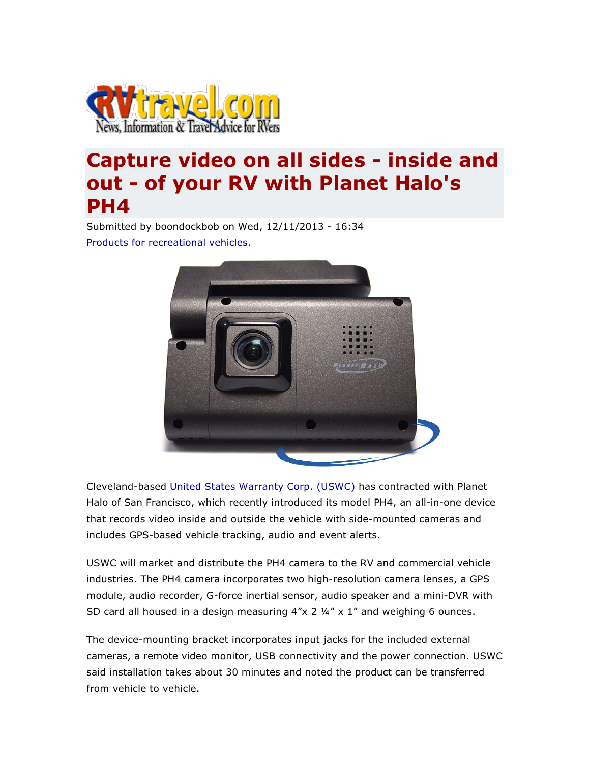

## **Capture video on all sides - inside and out - of your RV with Planet Halo's PH4**

Submitted by boondockbob on Wed, 12/11/2013 - 16:34 Products for recreational vehicles.



Cleveland-based United States Warranty Corp. (USWC) has contracted with Planet Halo of San Francisco, which recently introduced its model PH4, an all-in-one device that records video inside and outside the vehicle with side-mounted cameras and includes GPS-based vehicle tracking, audio and event alerts.

USWC will market and distribute the PH4 camera to the RV and commercial vehicle industries. The PH4 camera incorporates two high-resolution camera lenses, a GPS module, audio recorder, G-force inertial sensor, audio speaker and a mini-DVR with SD card all housed in a design measuring  $4''x$  2  $\frac{1}{4}x$  x 1" and weighing 6 ounces.

The device-mounting bracket incorporates input jacks for the included external cameras, a remote video monitor, USB connectivity and the power connection. USWC said installation takes about 30 minutes and noted the product can be transferred from vehicle to vehicle.